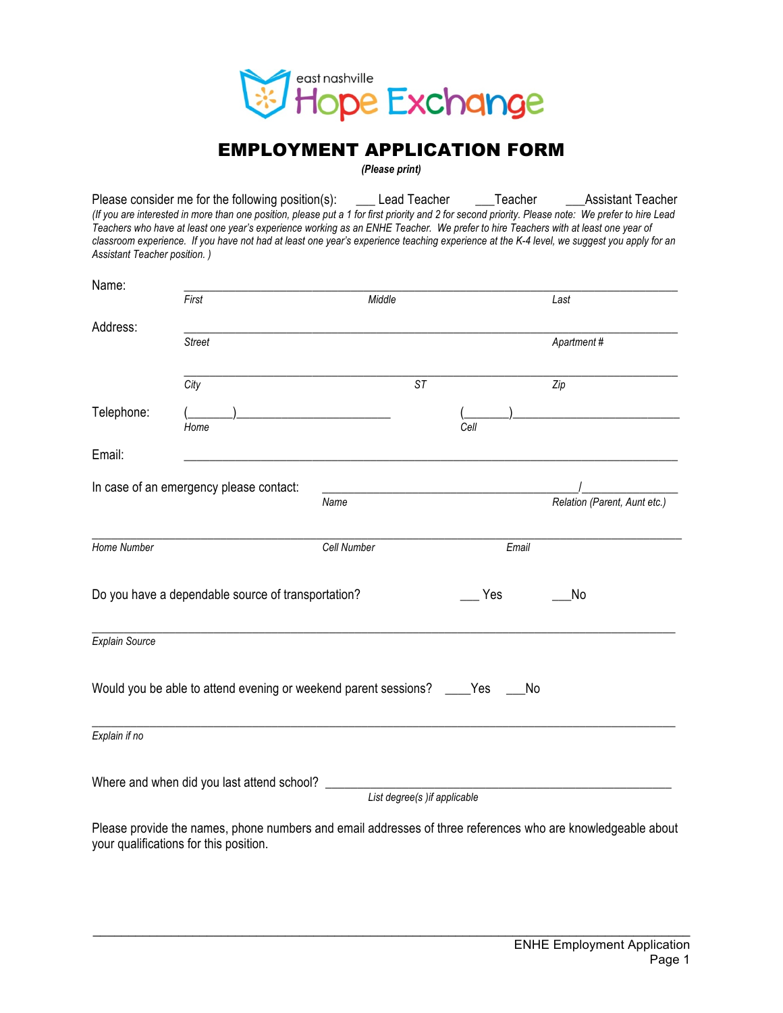

## EMPLOYMENT APPLICATION FORM

*(Please print)*

Please consider me for the following position(s): \_\_\_\_\_Lead Teacher \_\_\_\_\_\_Teacher \_\_\_\_\_\_\_\_Assistant Teacher *(If you are interested in more than one position, please put a 1 for first priority and 2 for second priority. Please note: We prefer to hire Lead Teachers who have at least one year's experience working as an ENHE Teacher. We prefer to hire Teachers with at least one year of*  classroom experience. If you have not had at least one year's experience teaching experience at the K-4 level, we suggest you apply for an *Assistant Teacher position. )*

| Name:                                              | First                                                                                                           | Middle                       |       |                              |
|----------------------------------------------------|-----------------------------------------------------------------------------------------------------------------|------------------------------|-------|------------------------------|
|                                                    |                                                                                                                 |                              |       | Last                         |
| Address:                                           | <b>Street</b>                                                                                                   |                              |       | Apartment#                   |
|                                                    | City                                                                                                            | <b>ST</b>                    |       | Zip                          |
| Telephone:                                         | Home                                                                                                            |                              | Cell  |                              |
| Email:                                             |                                                                                                                 |                              |       |                              |
|                                                    | In case of an emergency please contact:                                                                         | Name                         |       | Relation (Parent, Aunt etc.) |
| Home Number                                        |                                                                                                                 | Cell Number                  | Email |                              |
| Do you have a dependable source of transportation? |                                                                                                                 |                              | Yes   | No                           |
| Explain Source                                     |                                                                                                                 |                              |       |                              |
|                                                    | Would you be able to attend evening or weekend parent sessions? ____ Yes                                        |                              | No    |                              |
| Explain if no                                      |                                                                                                                 |                              |       |                              |
|                                                    | Where and when did you last attend school?                                                                      | List degree(s) if applicable |       |                              |
|                                                    | Dlagga wasutala tha waxaa yo haya wuxubaya gud gudal galdugaaga af thuga yafayawaga wila gud bwawladagahla ghay |                              |       |                              |

Please provide the names, phone numbers and email addresses of three references who are knowledgeable about your qualifications for this position.

 $\mathcal{L}_\mathcal{L} = \{ \mathcal{L}_\mathcal{L} = \{ \mathcal{L}_\mathcal{L} = \{ \mathcal{L}_\mathcal{L} = \{ \mathcal{L}_\mathcal{L} = \{ \mathcal{L}_\mathcal{L} = \{ \mathcal{L}_\mathcal{L} = \{ \mathcal{L}_\mathcal{L} = \{ \mathcal{L}_\mathcal{L} = \{ \mathcal{L}_\mathcal{L} = \{ \mathcal{L}_\mathcal{L} = \{ \mathcal{L}_\mathcal{L} = \{ \mathcal{L}_\mathcal{L} = \{ \mathcal{L}_\mathcal{L} = \{ \mathcal{L}_\mathcal{$